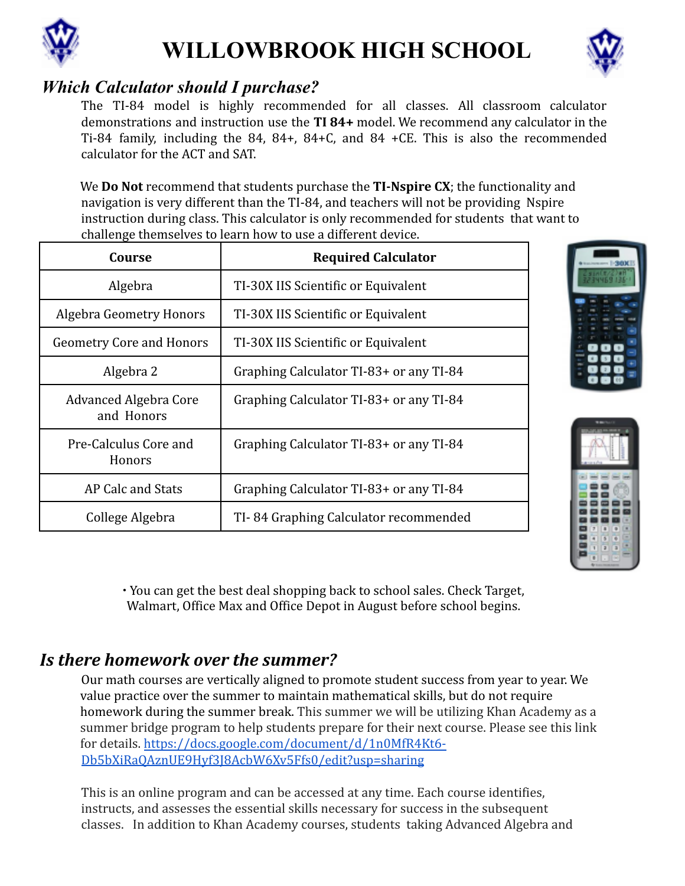



## *Which Calculator should I purchase?*

The TI-84 model is highly recommended for all classes. All classroom calculator demonstrations and instruction use the **TI 84+** model. We recommend any calculator in the Ti-84 family, including the 84, 84+, 84+C, and 84 +CE. This is also the recommended calculator for the ACT and SAT.

We **Do Not** recommend that students purchase the **TI-Nspire CX**; the functionality and navigation is very different than the TI-84, and teachers will not be providing Nspire instruction during class. This calculator is only recommended for students that want to challenge themselves to learn how to use a different device.

| Course                                     | <b>Required Calculator</b>              |
|--------------------------------------------|-----------------------------------------|
| Algebra                                    | TI-30X IIS Scientific or Equivalent     |
| <b>Algebra Geometry Honors</b>             | TI-30X IIS Scientific or Equivalent     |
| <b>Geometry Core and Honors</b>            | TI-30X IIS Scientific or Equivalent     |
| Algebra 2                                  | Graphing Calculator TI-83+ or any TI-84 |
| <b>Advanced Algebra Core</b><br>and Honors | Graphing Calculator TI-83+ or any TI-84 |
| Pre-Calculus Core and<br>Honors            | Graphing Calculator TI-83+ or any TI-84 |
| AP Calc and Stats                          | Graphing Calculator TI-83+ or any TI-84 |
| College Algebra                            | TI-84 Graphing Calculator recommended   |





∙ You can get the best deal shopping back to school sales. Check Target, Walmart, Office Max and Office Depot in August before school begins.

## *Is there homework over the summer?*

Our math courses are vertically aligned to promote student success from year to year. We value practice over the summer to maintain mathematical skills, but do not require homework during the summer break. This summer we will be utilizing Khan Academy as a summer bridge program to help students prepare for their next course. Please see this link for details. https://docs.google.com/document/d/1n0MfR4Kt6- Db5bXiRaQAznUE9Hyf3J8AcbW6Xv5Ffs0/edit?usp=sharing

This is an online program and can be accessed at any time. Each course identifies, instructs, and assesses the essential skills necessary for success in the subsequent classes. In addition to Khan Academy courses, students taking Advanced Algebra and